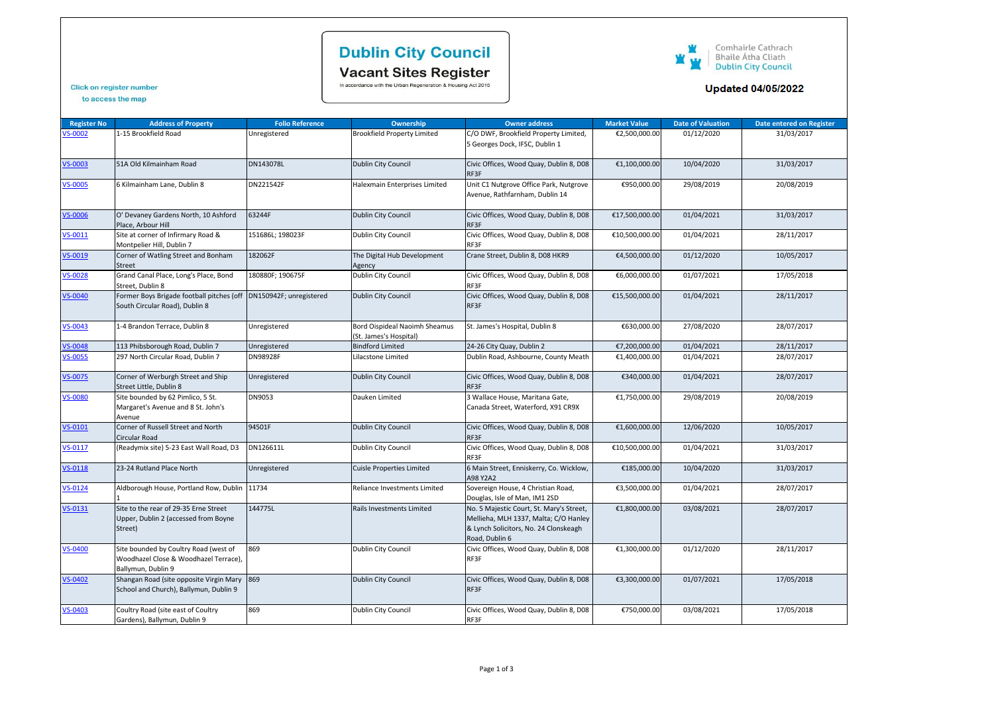# **Dublin City Council**

Vacant Sites Register<br>In accordance with the Urban Regeneration & Housing Act 2015

#### Comhairle Cathrach<br>Bhaile Átha Cliath<br>Dublin City Council W 宣 W

### **Updated 04/05/2022**

### Click on register number

| to access the map |  |  |
|-------------------|--|--|
|                   |  |  |

| <b>Register No</b> | <b>Address of Property</b>                                                                           | <b>Folio Reference</b> | Ownership                                               | <b>Owner address</b>                                                                                                                         | <b>Market Value</b> | <b>Date of Valuation</b> | <b>Date entered on Register</b> |
|--------------------|------------------------------------------------------------------------------------------------------|------------------------|---------------------------------------------------------|----------------------------------------------------------------------------------------------------------------------------------------------|---------------------|--------------------------|---------------------------------|
| VS-0002            | 1-15 Brookfield Road                                                                                 | Unregistered           | <b>Brookfield Property Limited</b>                      | C/O DWF, Brookfield Property Limited,<br>5 Georges Dock, IFSC, Dublin 1                                                                      | €2,500,000.00       | 01/12/2020               | 31/03/2017                      |
| <b>VS-0003</b>     | 51A Old Kilmainham Road                                                                              | DN143078L              | Dublin City Council                                     | Civic Offices, Wood Quay, Dublin 8, D08<br>RF3F                                                                                              | €1,100,000.00       | 10/04/2020               | 31/03/2017                      |
| <b>VS-0005</b>     | 6 Kilmainham Lane, Dublin 8                                                                          | DN221542F              | Halexmain Enterprises Limited                           | Unit C1 Nutgrove Office Park, Nutgrove<br>Avenue, Rathfarnham, Dublin 14                                                                     | €950,000.00         | 29/08/2019               | 20/08/2019                      |
| <b>VS-0006</b>     | O' Devaney Gardens North, 10 Ashford<br>Place, Arbour Hill                                           | 63244F                 | Dublin City Council                                     | Civic Offices, Wood Quay, Dublin 8, D08<br>RF3F                                                                                              | €17,500,000.00      | 01/04/2021               | 31/03/2017                      |
| VS-0011            | Site at corner of Infirmary Road &<br>Montpelier Hill, Dublin 7                                      | 151686L; 198023F       | Dublin City Council                                     | Civic Offices, Wood Quay, Dublin 8, D08<br>RF3F                                                                                              | €10,500,000.00      | 01/04/2021               | 28/11/2017                      |
| VS-0019            | Corner of Watling Street and Bonham<br>Street                                                        | 182062F                | The Digital Hub Development<br>Agency                   | Crane Street, Dublin 8, D08 HKR9                                                                                                             | €4,500,000.00       | 01/12/2020               | 10/05/2017                      |
| VS-0028            | Grand Canal Place, Long's Place, Bond<br>Street, Dublin 8                                            | 180880F; 190675F       | Dublin City Council                                     | Civic Offices, Wood Quay, Dublin 8, D08<br>RF3F                                                                                              | €6,000,000.00       | 01/07/2021               | 17/05/2018                      |
| VS-0040            | Former Boys Brigade football pitches (off DN150942F; unregistered<br>South Circular Road), Dublin 8  |                        | Dublin City Council                                     | Civic Offices, Wood Quay, Dublin 8, D08<br>RF3F                                                                                              | €15,500,000.00      | 01/04/2021               | 28/11/2017                      |
| VS-0043            | 1-4 Brandon Terrace, Dublin 8                                                                        | Unregistered           | Bord Oispideal Naoimh Sheamus<br>(St. James's Hospital) | St. James's Hospital, Dublin 8                                                                                                               | €630,000.00         | 27/08/2020               | 28/07/2017                      |
| VS-0048            | 113 Phibsborough Road, Dublin 7                                                                      | Unregistered           | <b>Bindford Limited</b>                                 | 24-26 City Quay, Dublin 2                                                                                                                    | €7,200,000.00       | 01/04/2021               | 28/11/2017                      |
| <b>VS-0055</b>     | 297 North Circular Road, Dublin 7                                                                    | DN98928F               | Lilacstone Limited                                      | Dublin Road, Ashbourne, County Meath                                                                                                         | €1,400,000.00       | 01/04/2021               | 28/07/2017                      |
| <b>VS-0075</b>     | Corner of Werburgh Street and Ship<br>Street Little, Dublin 8                                        | Unregistered           | Dublin City Council                                     | Civic Offices, Wood Quay, Dublin 8, D08<br>RF3F                                                                                              | €340,000.00         | 01/04/2021               | 28/07/2017                      |
| <b>VS-0080</b>     | Site bounded by 62 Pimlico, 5 St.<br>Margaret's Avenue and 8 St. John's<br>Avenue                    | DN9053                 | Dauken Limited                                          | 3 Wallace House, Maritana Gate,<br>Canada Street, Waterford, X91 CR9X                                                                        | €1,750,000.00       | 29/08/2019               | 20/08/2019                      |
| VS-0101            | Corner of Russell Street and North<br>Circular Road                                                  | 94501F                 | Dublin City Council                                     | Civic Offices, Wood Quay, Dublin 8, D08<br>RF3F                                                                                              | €1,600,000.00       | 12/06/2020               | 10/05/2017                      |
| $VS-0117$          | (Readymix site) 5-23 East Wall Road, D3                                                              | DN126611L              | Dublin City Council                                     | Civic Offices, Wood Quay, Dublin 8, D08<br>RF3F                                                                                              | €10,500,000.00      | 01/04/2021               | 31/03/2017                      |
| VS-0118            | 23-24 Rutland Place North                                                                            | Unregistered           | <b>Cuisle Properties Limited</b>                        | 6 Main Street, Enniskerry, Co. Wicklow,<br>A98 Y2A2                                                                                          | €185,000.00         | 10/04/2020               | 31/03/2017                      |
| $VS-0124$          | Aldborough House, Portland Row, Dublin 11734                                                         |                        | Reliance Investments Limited                            | Sovereign House, 4 Christian Road,<br>Douglas, Isle of Man, IM1 2SD                                                                          | €3,500,000.00       | 01/04/2021               | 28/07/2017                      |
| $VS-0131$          | Site to the rear of 29-35 Erne Street<br>Upper, Dublin 2 (accessed from Boyne<br>Street)             | 144775L                | Rails Investments Limited                               | No. 5 Majestic Court, St. Mary's Street,<br>Mellieha, MLH 1337, Malta; C/O Hanley<br>& Lynch Solicitors, No. 24 Clonskeagh<br>Road, Dublin 6 | €1,800,000.00       | 03/08/2021               | 28/07/2017                      |
| <b>VS-0400</b>     | Site bounded by Coultry Road (west of<br>Woodhazel Close & Woodhazel Terrace),<br>Ballymun, Dublin 9 | 869                    | Dublin City Council                                     | Civic Offices, Wood Quay, Dublin 8, D08<br>RF3F                                                                                              | €1,300,000.00       | 01/12/2020               | 28/11/2017                      |
| <b>VS-0402</b>     | Shangan Road (site opposite Virgin Mary<br>School and Church), Ballymun, Dublin 9                    | 869                    | Dublin City Council                                     | Civic Offices, Wood Quay, Dublin 8, D08<br>RF3F                                                                                              | €3,300,000.00       | 01/07/2021               | 17/05/2018                      |
| VS-0403            | Coultry Road (site east of Coultry<br>Gardens), Ballymun, Dublin 9                                   | 869                    | Dublin City Council                                     | Civic Offices, Wood Quay, Dublin 8, D08<br>RF3F                                                                                              | €750,000.00         | 03/08/2021               | 17/05/2018                      |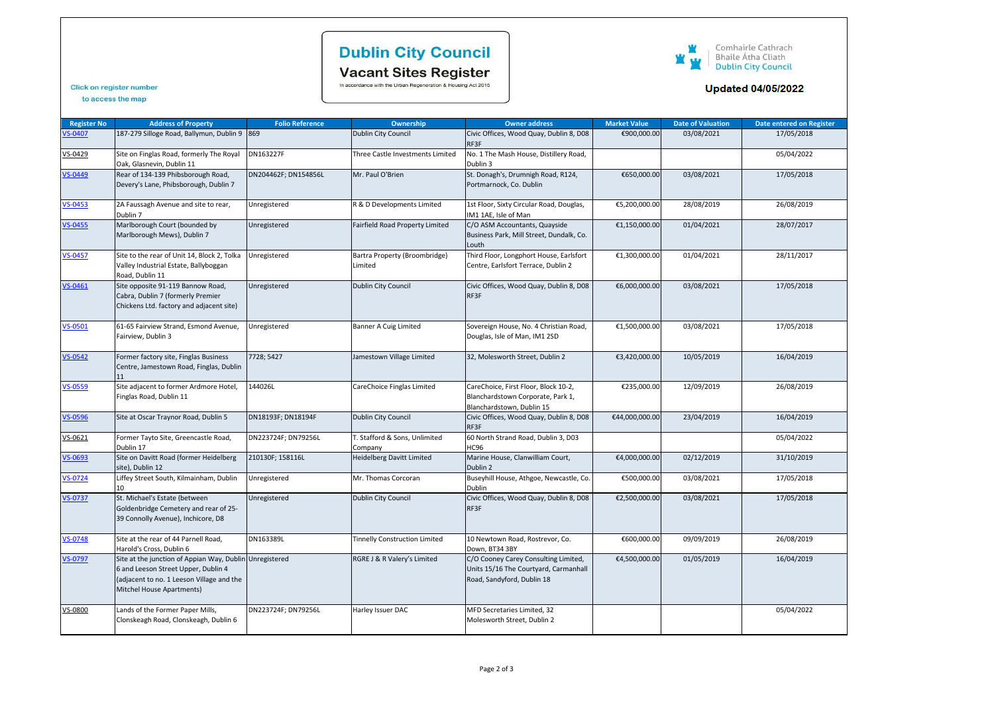# **Dublin City Council**

Vacant Sites Register<br>In accordance with the Urban Regeneration & Housing Act 2015



### **Updated 04/05/2022**

### Click on register number to access the map

| <b>Register No</b> | <b>Address of Property</b>                                                                                                                                               | <b>Folio Reference</b> | <b>Ownership</b>                         | <b>Owner address</b>                                                                                        | <b>Market Value</b> | <b>Date of Valuation</b> | <b>Date entered on Register</b> |
|--------------------|--------------------------------------------------------------------------------------------------------------------------------------------------------------------------|------------------------|------------------------------------------|-------------------------------------------------------------------------------------------------------------|---------------------|--------------------------|---------------------------------|
| S-0407             | 187-279 Silloge Road, Ballymun, Dublin 9 869                                                                                                                             |                        | Dublin City Council                      | Civic Offices, Wood Quay, Dublin 8, D08<br>RF3F                                                             | €900,000.00         | 03/08/2021               | 17/05/2018                      |
| VS-0429            | Site on Finglas Road, formerly The Royal<br>Oak, Glasnevin, Dublin 11                                                                                                    | DN163227F              | Three Castle Investments Limited         | No. 1 The Mash House, Distillery Road,<br>Dublin 3                                                          |                     |                          | 05/04/2022                      |
| VS-0449            | Rear of 134-139 Phibsborough Road,<br>Devery's Lane, Phibsborough, Dublin 7                                                                                              | DN204462F; DN154856L   | Mr. Paul O'Brien                         | St. Donagh's, Drumnigh Road, R124,<br>Portmarnock, Co. Dublin                                               | €650,000.00         | 03/08/2021               | 17/05/2018                      |
| $VS - 0453$        | 2A Faussagh Avenue and site to rear,<br>Dublin 7                                                                                                                         | Unregistered           | R & D Developments Limited               | 1st Floor, Sixty Circular Road, Douglas,<br>IM1 1AE, Isle of Man                                            | €5,200,000.00       | 28/08/2019               | 26/08/2019                      |
| VS-0455            | Marlborough Court (bounded by<br>Marlborough Mews), Dublin 7                                                                                                             | Unregistered           | Fairfield Road Property Limited          | C/O ASM Accountants, Quayside<br>Business Park, Mill Street, Dundalk, Co.<br>Louth                          | €1,150,000.00       | 01/04/2021               | 28/07/2017                      |
| $VS - 0457$        | Site to the rear of Unit 14, Block 2, Tolka<br>Valley Industrial Estate, Ballyboggan<br>Road, Dublin 11                                                                  | Unregistered           | Bartra Property (Broombridge)<br>Limited | Third Floor, Longphort House, Earlsfort<br>Centre, Earlsfort Terrace, Dublin 2                              | €1,300,000.00       | 01/04/2021               | 28/11/2017                      |
| $VS - 0461$        | Site opposite 91-119 Bannow Road,<br>Cabra, Dublin 7 (formerly Premier<br>Chickens Ltd. factory and adjacent site)                                                       | Unregistered           | Dublin City Council                      | Civic Offices, Wood Quay, Dublin 8, D08<br>RF3F                                                             | €6,000,000.00       | 03/08/2021               | 17/05/2018                      |
| $VS-0501$          | 61-65 Fairview Strand, Esmond Avenue,<br>Fairview, Dublin 3                                                                                                              | Unregistered           | Banner A Cuig Limited                    | Sovereign House, No. 4 Christian Road,<br>Douglas, Isle of Man, IM1 2SD                                     | €1,500,000.00       | 03/08/2021               | 17/05/2018                      |
| $VS - 0542$        | Former factory site, Finglas Business<br>Centre, Jamestown Road, Finglas, Dublin<br>11                                                                                   | 7728; 5427             | Jamestown Village Limited                | 32, Molesworth Street, Dublin 2                                                                             | €3,420,000.00       | 10/05/2019               | 16/04/2019                      |
| VS-0559            | Site adjacent to former Ardmore Hotel,<br>Finglas Road, Dublin 11                                                                                                        | 144026L                | CareChoice Finglas Limited               | CareChoice, First Floor, Block 10-2,<br>Blanchardstown Corporate, Park 1,<br>Blanchardstown, Dublin 15      | €235,000.00         | 12/09/2019               | 26/08/2019                      |
| VS-0596            | Site at Oscar Traynor Road, Dublin 5                                                                                                                                     | DN18193F; DN18194F     | Dublin City Council                      | Civic Offices, Wood Quay, Dublin 8, D08<br>RF3F                                                             | €44,000,000.00      | 23/04/2019               | 16/04/2019                      |
| VS-0621            | Former Tayto Site, Greencastle Road,<br>Dublin 17                                                                                                                        | DN223724F; DN79256L    | T. Stafford & Sons, Unlimited<br>Company | 60 North Strand Road, Dublin 3, D03<br><b>HC96</b>                                                          |                     |                          | 05/04/2022                      |
| VS-0693            | Site on Davitt Road (former Heidelberg<br>site), Dublin 12                                                                                                               | 210130F; 158116L       | <b>Heidelberg Davitt Limited</b>         | Marine House, Clanwilliam Court,<br>Dublin 2                                                                | €4,000,000.00       | 02/12/2019               | 31/10/2019                      |
| $VS - 0724$        | Liffey Street South, Kilmainham, Dublin<br>10                                                                                                                            | Unregistered           | Mr. Thomas Corcoran                      | Buseyhill House, Athgoe, Newcastle, Co.<br><b>Dublin</b>                                                    | €500,000.00         | 03/08/2021               | 17/05/2018                      |
| $VS - 0737$        | St. Michael's Estate (between<br>Goldenbridge Cemetery and rear of 25-<br>39 Connolly Avenue), Inchicore, D8                                                             | Unregistered           | Dublin City Council                      | Civic Offices, Wood Quay, Dublin 8, D08<br>RF3F                                                             | €2,500,000.00       | 03/08/2021               | 17/05/2018                      |
| <b>/S-0748</b>     | Site at the rear of 44 Parnell Road,<br>Harold's Cross, Dublin 6                                                                                                         | DN163389L              | <b>Tinnelly Construction Limited</b>     | 10 Newtown Road, Rostrevor, Co.<br>Down, BT34 3BY                                                           | €600,000.00         | 09/09/2019               | 26/08/2019                      |
| <b>S-0797</b>      | Site at the junction of Appian Way, Dublin Unregistered<br>6 and Leeson Street Upper, Dublin 4<br>(adjacent to no. 1 Leeson Village and the<br>Mitchel House Apartments) |                        | RGRE J & R Valery's Limited              | C/O Cooney Carey Consulting Limited,<br>Units 15/16 The Courtyard, Carmanhall<br>Road, Sandyford, Dublin 18 | €4,500,000.00       | 01/05/2019               | 16/04/2019                      |
| VS-0800            | Lands of the Former Paper Mills,<br>Clonskeagh Road, Clonskeagh, Dublin 6                                                                                                | DN223724F; DN79256L    | Harley Issuer DAC                        | MFD Secretaries Limited, 32<br>Molesworth Street, Dublin 2                                                  |                     |                          | 05/04/2022                      |